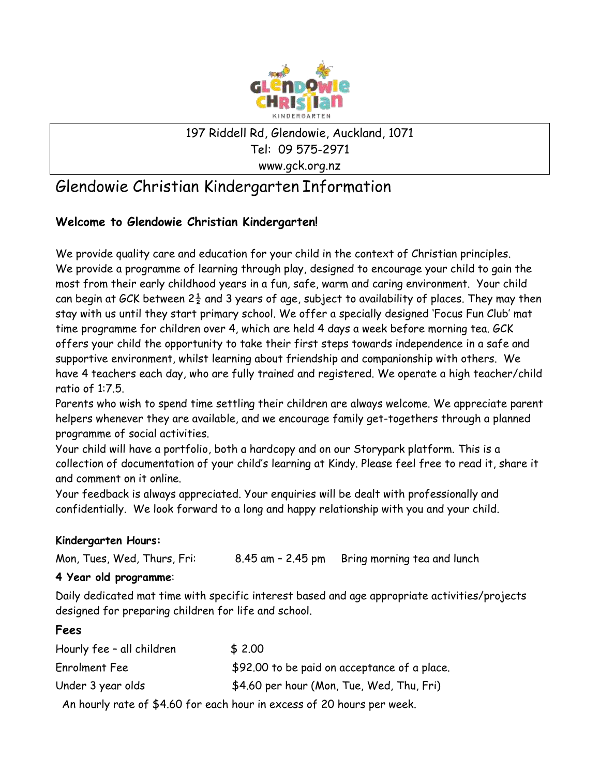

### 197 Riddell Rd, Glendowie, Auckland, 1071 Tel: 09 575-2971 www.gck.org.nz

# Glendowie Christian Kindergarten Information

## **Welcome to Glendowie Christian Kindergarten!**

We provide quality care and education for your child in the context of Christian principles. We provide a programme of learning through play, designed to encourage your child to gain the most from their early childhood years in a fun, safe, warm and caring environment. Your child can begin at GCK between  $2\frac{1}{2}$  and 3 years of age, subject to availability of places. They may then stay with us until they start primary school. We offer a specially designed 'Focus Fun Club' mat time programme for children over 4, which are held 4 days a week before morning tea. GCK offers your child the opportunity to take their first steps towards independence in a safe and supportive environment, whilst learning about friendship and companionship with others. We have 4 teachers each day, who are fully trained and registered. We operate a high teacher/child ratio of 1:7.5.

Parents who wish to spend time settling their children are always welcome. We appreciate parent helpers whenever they are available, and we encourage family get-togethers through a planned programme of social activities.

Your child will have a portfolio, both a hardcopy and on our Storypark platform. This is a collection of documentation of your child's learning at Kindy. Please feel free to read it, share it and comment on it online.

Your feedback is always appreciated. Your enquiries will be dealt with professionally and confidentially. We look forward to a long and happy relationship with you and your child.

#### **Kindergarten Hours:**

Mon, Tues, Wed, Thurs, Fri: 8.45 am – 2.45 pm Bring morning tea and lunch

#### **4 Year old programme**:

Daily dedicated mat time with specific interest based and age appropriate activities/projects designed for preparing children for life and school.

#### **Fees**

| Hourly fee - all children | \$2.00                                                                 |
|---------------------------|------------------------------------------------------------------------|
| Enrolment Fee             | \$92.00 to be paid on acceptance of a place.                           |
| Under 3 year olds         | \$4.60 per hour (Mon, Tue, Wed, Thu, Fri)                              |
|                           | An hourly rate of \$4.60 for each hour in excess of 20 hours per week. |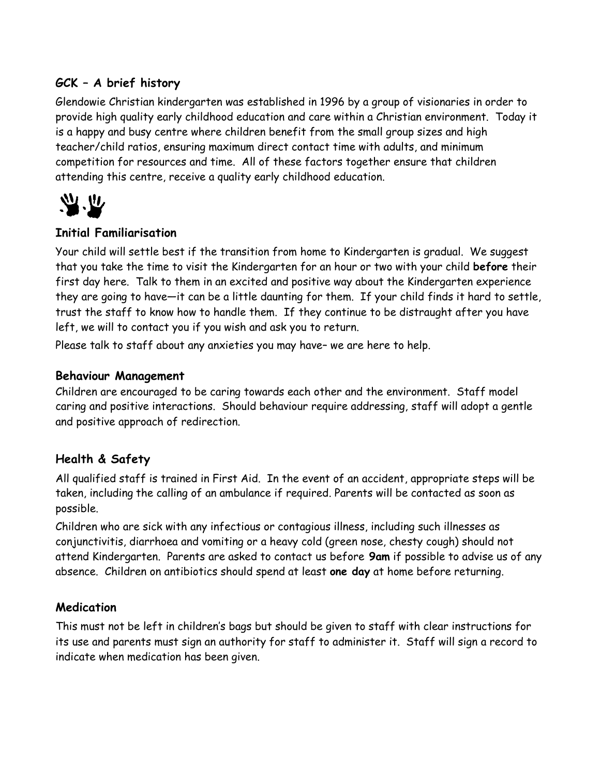### **GCK – A brief history**

Glendowie Christian kindergarten was established in 1996 by a group of visionaries in order to provide high quality early childhood education and care within a Christian environment. Today it is a happy and busy centre where children benefit from the small group sizes and high teacher/child ratios, ensuring maximum direct contact time with adults, and minimum competition for resources and time. All of these factors together ensure that children attending this centre, receive a quality early childhood education.



#### **Initial Familiarisation**

Your child will settle best if the transition from home to Kindergarten is gradual. We suggest that you take the time to visit the Kindergarten for an hour or two with your child **before** their first day here. Talk to them in an excited and positive way about the Kindergarten experience they are going to have—it can be a little daunting for them. If your child finds it hard to settle, trust the staff to know how to handle them. If they continue to be distraught after you have left, we will to contact you if you wish and ask you to return.

Please talk to staff about any anxieties you may have– we are here to help.

#### **Behaviour Management**

Children are encouraged to be caring towards each other and the environment. Staff model caring and positive interactions. Should behaviour require addressing, staff will adopt a gentle and positive approach of redirection.

#### **Health & Safety**

All qualified staff is trained in First Aid. In the event of an accident, appropriate steps will be taken, including the calling of an ambulance if required. Parents will be contacted as soon as possible.

Children who are sick with any infectious or contagious illness, including such illnesses as conjunctivitis, diarrhoea and vomiting or a heavy cold (green nose, chesty cough) should not attend Kindergarten. Parents are asked to contact us before **9am** if possible to advise us of any absence. Children on antibiotics should spend at least **one day** at home before returning.

#### **Medication**

This must not be left in children's bags but should be given to staff with clear instructions for its use and parents must sign an authority for staff to administer it. Staff will sign a record to indicate when medication has been given.